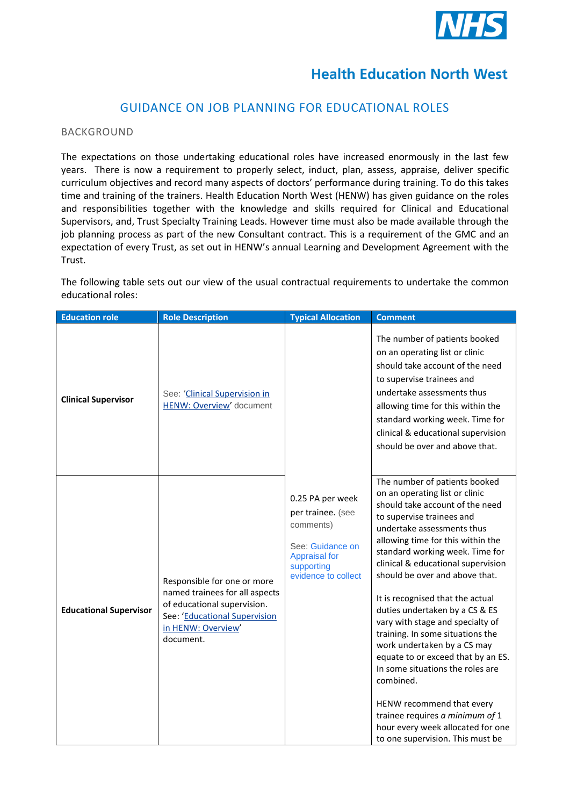

## **Health Education North West**

## GUIDANCE ON JOB PLANNING FOR EDUCATIONAL ROLES

## BACKGROUND

The expectations on those undertaking educational roles have increased enormously in the last few years. There is now a requirement to properly select, induct, plan, assess, appraise, deliver specific curriculum objectives and record many aspects of doctors' performance during training. To do this takes time and training of the trainers. Health Education North West (HENW) has given guidance on the roles and responsibilities together with the knowledge and skills required for Clinical and Educational Supervisors, and, Trust Specialty Training Leads. However time must also be made available through the job planning process as part of the new Consultant contract. This is a requirement of the GMC and an expectation of every Trust, as set out in HENW's annual Learning and Development Agreement with the Trust.

The following table sets out our view of the usual contractual requirements to undertake the common educational roles:

| <b>Education role</b>         | <b>Role Description</b>                                                                                                                                          | <b>Typical Allocation</b>                                                                                                           | <b>Comment</b>                                                                                                                                                                                                                                                                                                                                                                                                                                                                                                                                                                                                                                                                                                             |
|-------------------------------|------------------------------------------------------------------------------------------------------------------------------------------------------------------|-------------------------------------------------------------------------------------------------------------------------------------|----------------------------------------------------------------------------------------------------------------------------------------------------------------------------------------------------------------------------------------------------------------------------------------------------------------------------------------------------------------------------------------------------------------------------------------------------------------------------------------------------------------------------------------------------------------------------------------------------------------------------------------------------------------------------------------------------------------------------|
| <b>Clinical Supervisor</b>    | See: 'Clinical Supervision in<br>HENW: Overview' document                                                                                                        |                                                                                                                                     | The number of patients booked<br>on an operating list or clinic<br>should take account of the need<br>to supervise trainees and<br>undertake assessments thus<br>allowing time for this within the<br>standard working week. Time for<br>clinical & educational supervision<br>should be over and above that.                                                                                                                                                                                                                                                                                                                                                                                                              |
| <b>Educational Supervisor</b> | Responsible for one or more<br>named trainees for all aspects<br>of educational supervision.<br>See: 'Educational Supervision<br>in HENW: Overview'<br>document. | 0.25 PA per week<br>per trainee. (see<br>comments)<br>See: Guidance on<br><b>Appraisal for</b><br>supporting<br>evidence to collect | The number of patients booked<br>on an operating list or clinic<br>should take account of the need<br>to supervise trainees and<br>undertake assessments thus<br>allowing time for this within the<br>standard working week. Time for<br>clinical & educational supervision<br>should be over and above that.<br>It is recognised that the actual<br>duties undertaken by a CS & ES<br>vary with stage and specialty of<br>training. In some situations the<br>work undertaken by a CS may<br>equate to or exceed that by an ES.<br>In some situations the roles are<br>combined.<br>HENW recommend that every<br>trainee requires a minimum of 1<br>hour every week allocated for one<br>to one supervision. This must be |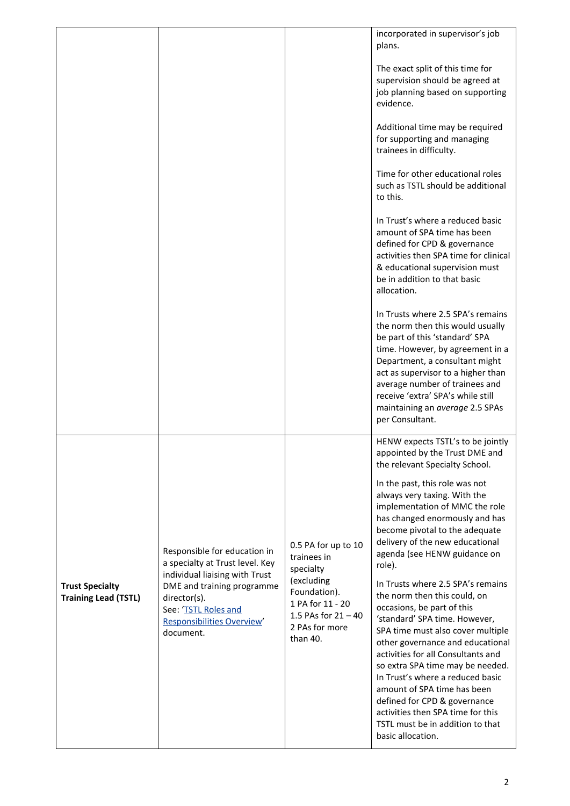|                                                       |                                                                                                                                                                                                                           |                                                                                                                                                          | incorporated in supervisor's job<br>plans.                                                                                                                                                                                                                                                                                                                                                                                                                                                                                                                                                                                                                                                                                                                                                                                                         |
|-------------------------------------------------------|---------------------------------------------------------------------------------------------------------------------------------------------------------------------------------------------------------------------------|----------------------------------------------------------------------------------------------------------------------------------------------------------|----------------------------------------------------------------------------------------------------------------------------------------------------------------------------------------------------------------------------------------------------------------------------------------------------------------------------------------------------------------------------------------------------------------------------------------------------------------------------------------------------------------------------------------------------------------------------------------------------------------------------------------------------------------------------------------------------------------------------------------------------------------------------------------------------------------------------------------------------|
|                                                       |                                                                                                                                                                                                                           |                                                                                                                                                          | The exact split of this time for<br>supervision should be agreed at<br>job planning based on supporting<br>evidence.                                                                                                                                                                                                                                                                                                                                                                                                                                                                                                                                                                                                                                                                                                                               |
|                                                       |                                                                                                                                                                                                                           |                                                                                                                                                          | Additional time may be required<br>for supporting and managing<br>trainees in difficulty.                                                                                                                                                                                                                                                                                                                                                                                                                                                                                                                                                                                                                                                                                                                                                          |
|                                                       |                                                                                                                                                                                                                           |                                                                                                                                                          | Time for other educational roles<br>such as TSTL should be additional<br>to this.                                                                                                                                                                                                                                                                                                                                                                                                                                                                                                                                                                                                                                                                                                                                                                  |
|                                                       |                                                                                                                                                                                                                           |                                                                                                                                                          | In Trust's where a reduced basic<br>amount of SPA time has been<br>defined for CPD & governance<br>activities then SPA time for clinical<br>& educational supervision must<br>be in addition to that basic<br>allocation.                                                                                                                                                                                                                                                                                                                                                                                                                                                                                                                                                                                                                          |
|                                                       |                                                                                                                                                                                                                           |                                                                                                                                                          | In Trusts where 2.5 SPA's remains<br>the norm then this would usually<br>be part of this 'standard' SPA<br>time. However, by agreement in a<br>Department, a consultant might<br>act as supervisor to a higher than<br>average number of trainees and<br>receive 'extra' SPA's while still<br>maintaining an average 2.5 SPAs<br>per Consultant.                                                                                                                                                                                                                                                                                                                                                                                                                                                                                                   |
| <b>Trust Specialty</b><br><b>Training Lead (TSTL)</b> | Responsible for education in<br>a specialty at Trust level. Key<br>individual liaising with Trust<br>DME and training programme<br>director(s).<br>See: 'TSTL Roles and<br><b>Responsibilities Overview'</b><br>document. | 0.5 PA for up to 10<br>trainees in<br>specialty<br>(excluding<br>Foundation).<br>1 PA for 11 - 20<br>1.5 PAs for $21 - 40$<br>2 PAs for more<br>than 40. | HENW expects TSTL's to be jointly<br>appointed by the Trust DME and<br>the relevant Specialty School.<br>In the past, this role was not<br>always very taxing. With the<br>implementation of MMC the role<br>has changed enormously and has<br>become pivotal to the adequate<br>delivery of the new educational<br>agenda (see HENW guidance on<br>role).<br>In Trusts where 2.5 SPA's remains<br>the norm then this could, on<br>occasions, be part of this<br>'standard' SPA time. However,<br>SPA time must also cover multiple<br>other governance and educational<br>activities for all Consultants and<br>so extra SPA time may be needed.<br>In Trust's where a reduced basic<br>amount of SPA time has been<br>defined for CPD & governance<br>activities then SPA time for this<br>TSTL must be in addition to that<br>basic allocation. |